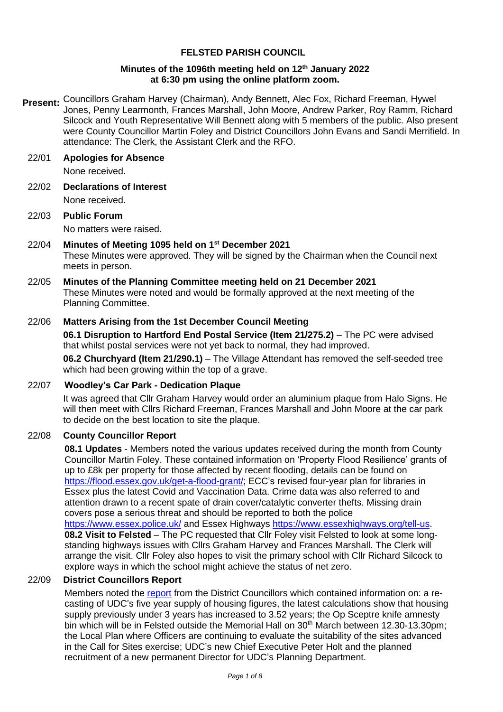## **FELSTED PARISH COUNCIL**

## **Minutes of the 1096th meeting held on 12 th January 2022 at 6:30 pm using the online platform zoom.**

Present: Councillors Graham Harvey (Chairman), Andy Bennett, Alec Fox, Richard Freeman, Hywel Jones, Penny Learmonth, Frances Marshall, John Moore, Andrew Parker, Roy Ramm, Richard Silcock and Youth Representative Will Bennett along with 5 members of the public. Also present were County Councillor Martin Foley and District Councillors John Evans and Sandi Merrifield. In attendance: The Clerk, the Assistant Clerk and the RFO.

## 22/01 **Apologies for Absence**

None received.

22/02 **Declarations of Interest**

None received.

22/03 **Public Forum**  No matters were raised.

## 22/04 **Minutes of Meeting 1095 held on 1 st December 2021**

These Minutes were approved. They will be signed by the Chairman when the Council next meets in person.

22/05 **Minutes of the Planning Committee meeting held on 21 December 2021**  These Minutes were noted and would be formally approved at the next meeting of the Planning Committee.

## 22/06 **Matters Arising from the 1st December Council Meeting**

**06.1 Disruption to Hartford End Postal Service (Item 21/275.2)** – The PC were advised that whilst postal services were not yet back to normal, they had improved.

**06.2 Churchyard (Item 21/290.1)** – The Village Attendant has removed the self-seeded tree which had been growing within the top of a grave.

## 22/07 **Woodley's Car Park - Dedication Plaque**

It was agreed that Cllr Graham Harvey would order an aluminium plaque from Halo Signs. He will then meet with Cllrs Richard Freeman, Frances Marshall and John Moore at the car park to decide on the best location to site the plaque.

## 22/08 **County Councillor Report**

**08.1 Updates** - Members noted the various updates received during the month from County Councillor Martin Foley. These contained information on 'Property Flood Resilience' grants of up to £8k per property for those affected by recent flooding, details can be found on [https://flood.essex.gov.uk/get-a-flood-grant/;](https://flood.essex.gov.uk/get-a-flood-grant/) ECC's revised four-year plan for libraries in Essex plus the latest Covid and Vaccination Data. Crime data was also referred to and attention drawn to a recent spate of drain cover/catalytic converter thefts. Missing drain covers pose a serious threat and should be reported to both the police <https://www.essex.police.uk/> and Essex Highways [https://www.essexhighways.org/tell-us.](https://www.essexhighways.org/tell-us) **08.2 Visit to Felsted** – The PC requested that Cllr Foley visit Felsted to look at some longstanding highways issues with Cllrs Graham Harvey and Frances Marshall. The Clerk will arrange the visit. Cllr Foley also hopes to visit the primary school with Cllr Richard Silcock to explore ways in which the school might achieve the status of net zero.

## 22/09 **District Councillors Report**

Members noted the [report](https://www.felsted-pc.gov.uk/wp-content/uploads/DC-Report-January-2022.pdf) from the District Councillors which contained information on: a recasting of UDC's five year supply of housing figures, the latest calculations show that housing supply previously under 3 years has increased to 3.52 years; the Op Sceptre knife amnesty bin which will be in Felsted outside the Memorial Hall on 30<sup>th</sup> March between 12.30-13.30pm; the Local Plan where Officers are continuing to evaluate the suitability of the sites advanced in the Call for Sites exercise; UDC's new Chief Executive Peter Holt and the planned recruitment of a new permanent Director for UDC's Planning Department.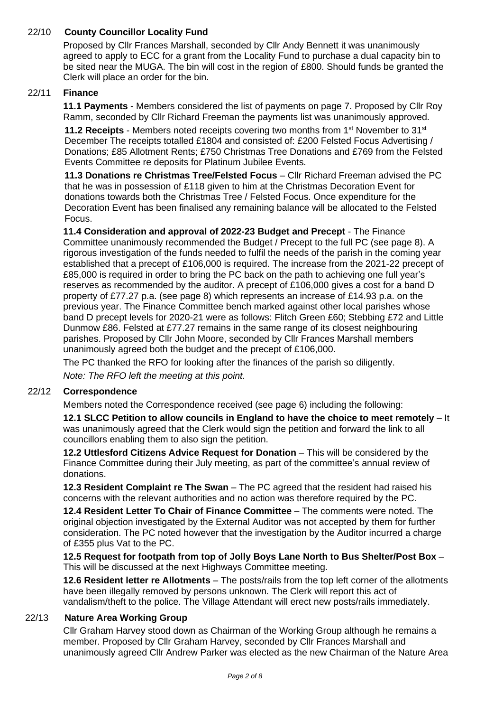## 22/10 **County Councillor Locality Fund**

Proposed by Cllr Frances Marshall, seconded by Cllr Andy Bennett it was unanimously agreed to apply to ECC for a grant from the Locality Fund to purchase a dual capacity bin to be sited near the MUGA. The bin will cost in the region of £800. Should funds be granted the Clerk will place an order for the bin.

## 22/11 **Finance**

**11.1 Payments** - Members considered the list of payments on page 7. Proposed by Cllr Roy Ramm, seconded by Cllr Richard Freeman the payments list was unanimously approved.

**11.2 Receipts** - Members noted receipts covering two months from 1st November to 31st December The receipts totalled £1804 and consisted of: £200 Felsted Focus Advertising / Donations; £85 Allotment Rents; £750 Christmas Tree Donations and £769 from the Felsted Events Committee re deposits for Platinum Jubilee Events.

**11.3 Donations re Christmas Tree/Felsted Focus** – Cllr Richard Freeman advised the PC that he was in possession of £118 given to him at the Christmas Decoration Event for donations towards both the Christmas Tree / Felsted Focus. Once expenditure for the Decoration Event has been finalised any remaining balance will be allocated to the Felsted Focus.

**11.4 Consideration and approval of 2022-23 Budget and Precept** - The Finance Committee unanimously recommended the Budget / Precept to the full PC (see page 8). A rigorous investigation of the funds needed to fulfil the needs of the parish in the coming year established that a precept of £106,000 is required. The increase from the 2021-22 precept of £85,000 is required in order to bring the PC back on the path to achieving one full year's reserves as recommended by the auditor. A precept of £106,000 gives a cost for a band D property of £77.27 p.a. (see page 8) which represents an increase of £14.93 p.a. on the previous year. The Finance Committee bench marked against other local parishes whose band D precept levels for 2020-21 were as follows: Flitch Green £60; Stebbing £72 and Little Dunmow £86. Felsted at £77.27 remains in the same range of its closest neighbouring parishes. Proposed by Cllr John Moore, seconded by Cllr Frances Marshall members unanimously agreed both the budget and the precept of £106,000.

The PC thanked the RFO for looking after the finances of the parish so diligently. *Note: The RFO left the meeting at this point.*

## 22/12 **Correspondence**

Members noted the Correspondence received (see page 6) including the following:

**12.1 SLCC Petition to allow councils in England to have the choice to meet remotely** – It was unanimously agreed that the Clerk would sign the petition and forward the link to all councillors enabling them to also sign the petition.

**12.2 Uttlesford Citizens Advice Request for Donation** – This will be considered by the Finance Committee during their July meeting, as part of the committee's annual review of donations.

**12.3 Resident Complaint re The Swan** – The PC agreed that the resident had raised his concerns with the relevant authorities and no action was therefore required by the PC.

**12.4 Resident Letter To Chair of Finance Committee** – The comments were noted. The original objection investigated by the External Auditor was not accepted by them for further consideration. The PC noted however that the investigation by the Auditor incurred a charge of £355 plus Vat to the PC.

**12.5 Request for footpath from top of Jolly Boys Lane North to Bus Shelter/Post Box** – This will be discussed at the next Highways Committee meeting.

**12.6 Resident letter re Allotments** – The posts/rails from the top left corner of the allotments have been illegally removed by persons unknown. The Clerk will report this act of vandalism/theft to the police. The Village Attendant will erect new posts/rails immediately.

## 22/13 **Nature Area Working Group**

Cllr Graham Harvey stood down as Chairman of the Working Group although he remains a member. Proposed by Cllr Graham Harvey, seconded by Cllr Frances Marshall and unanimously agreed Cllr Andrew Parker was elected as the new Chairman of the Nature Area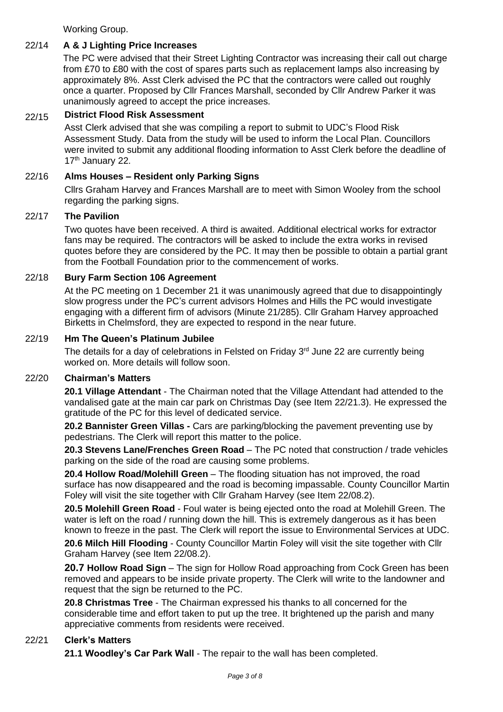Working Group.

## 22/14 **A & J Lighting Price Increases**

The PC were advised that their Street Lighting Contractor was increasing their call out charge from £70 to £80 with the cost of spares parts such as replacement lamps also increasing by approximately 8%. Asst Clerk advised the PC that the contractors were called out roughly once a quarter. Proposed by Cllr Frances Marshall, seconded by Cllr Andrew Parker it was unanimously agreed to accept the price increases.

## 22/15 **District Flood Risk Assessment**

Asst Clerk advised that she was compiling a report to submit to UDC's Flood Risk Assessment Study. Data from the study will be used to inform the Local Plan. Councillors were invited to submit any additional flooding information to Asst Clerk before the deadline of 17<sup>th</sup> January 22.

## 22/16 **Alms Houses – Resident only Parking Signs**

Cllrs Graham Harvey and Frances Marshall are to meet with Simon Wooley from the school regarding the parking signs.

## 22/17 **The Pavilion**

Two quotes have been received. A third is awaited. Additional electrical works for extractor fans may be required. The contractors will be asked to include the extra works in revised quotes before they are considered by the PC. It may then be possible to obtain a partial grant from the Football Foundation prior to the commencement of works.

## 22/18 **Bury Farm Section 106 Agreement**

At the PC meeting on 1 December 21 it was unanimously agreed that due to disappointingly slow progress under the PC's current advisors Holmes and Hills the PC would investigate engaging with a different firm of advisors (Minute 21/285). Cllr Graham Harvey approached Birketts in Chelmsford, they are expected to respond in the near future.

## 22/19 **Hm The Queen's Platinum Jubilee**

The details for a day of celebrations in Felsted on Friday  $3<sup>rd</sup>$  June 22 are currently being worked on. More details will follow soon.

## 22/20 **Chairman's Matters**

**20.1 Village Attendant** - The Chairman noted that the Village Attendant had attended to the vandalised gate at the main car park on Christmas Day (see Item 22/21.3). He expressed the gratitude of the PC for this level of dedicated service.

**20.2 Bannister Green Villas -** Cars are parking/blocking the pavement preventing use by pedestrians. The Clerk will report this matter to the police.

**20.3 Stevens Lane/Frenches Green Road** – The PC noted that construction / trade vehicles parking on the side of the road are causing some problems.

**20.4 Hollow Road/Molehill Green** – The flooding situation has not improved, the road surface has now disappeared and the road is becoming impassable. County Councillor Martin Foley will visit the site together with Cllr Graham Harvey (see Item 22/08.2).

**20.5 Molehill Green Road** - Foul water is being ejected onto the road at Molehill Green. The water is left on the road / running down the hill. This is extremely dangerous as it has been known to freeze in the past. The Clerk will report the issue to Environmental Services at UDC.

**20.6 Milch Hill Flooding** - County Councillor Martin Foley will visit the site together with Cllr Graham Harvey (see Item 22/08.2).

**20.7 Hollow Road Sign** – The sign for Hollow Road approaching from Cock Green has been removed and appears to be inside private property. The Clerk will write to the landowner and request that the sign be returned to the PC.

**20.8 Christmas Tree** - The Chairman expressed his thanks to all concerned for the considerable time and effort taken to put up the tree. It brightened up the parish and many appreciative comments from residents were received.

## 22/21 **Clerk's Matters**

**21.1 Woodley's Car Park Wall** - The repair to the wall has been completed.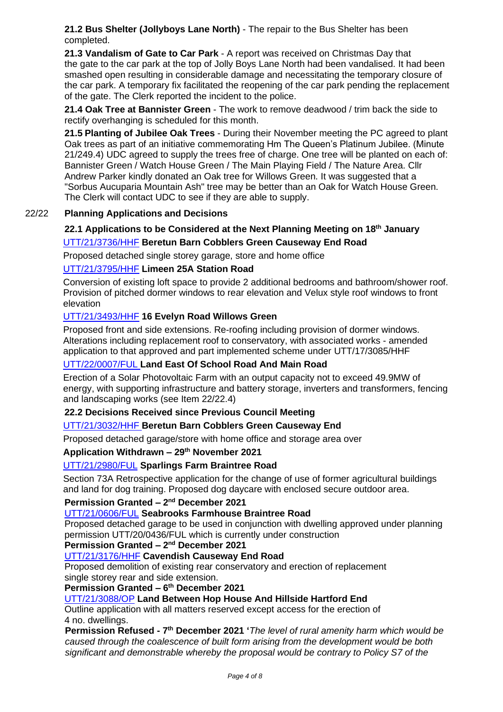**21.2 Bus Shelter (Jollyboys Lane North)** - The repair to the Bus Shelter has been completed.

**21.3 Vandalism of Gate to Car Park** - A report was received on Christmas Day that the gate to the car park at the top of Jolly Boys Lane North had been vandalised. It had been smashed open resulting in considerable damage and necessitating the temporary closure of the car park. A temporary fix facilitated the reopening of the car park pending the replacement of the gate. The Clerk reported the incident to the police.

**21.4 Oak Tree at Bannister Green** - The work to remove deadwood / trim back the side to rectify overhanging is scheduled for this month.

**21.5 Planting of Jubilee Oak Trees** - During their November meeting the PC agreed to plant Oak trees as part of an initiative commemorating Hm The Queen's Platinum Jubilee. (Minute 21/249.4) UDC agreed to supply the trees free of charge. One tree will be planted on each of: Bannister Green / Watch House Green / The Main Playing Field / The Nature Area. Cllr Andrew Parker kindly donated an Oak tree for Willows Green. It was suggested that a "Sorbus Aucuparia Mountain Ash" tree may be better than an Oak for Watch House Green. The Clerk will contact UDC to see if they are able to supply.

## 22/22 **Planning Applications and Decisions**

## **22.1 Applications to be Considered at the Next Planning Meeting on 18th January** [UTT/21/3736/HHF](https://publicaccess.uttlesford.gov.uk/online-applications/applicationDetails.do?activeTab=summary&keyVal=R4GLTEQNIUK00&prevPage=inTray) **Beretun Barn Cobblers Green Causeway End Road**

Proposed detached single storey garage, store and home office

## [UTT/21/3795/HHF](https://publicaccess.uttlesford.gov.uk/online-applications/applicationDetails.do?activeTab=summary&keyVal=R4YXIAQNJ3O00&prevPage=inTray) **Limeen 25A Station Road**

Conversion of existing loft space to provide 2 additional bedrooms and bathroom/shower roof. Provision of pitched dormer windows to rear elevation and Velux style roof windows to front elevation

## [UTT/21/3493/HHF](https://publicaccess.uttlesford.gov.uk/online-applications/applicationDetails.do?activeTab=summary&keyVal=R32PZ5QNI1S00&prevPage=inTray) **16 Evelyn Road Willows Green**

Proposed front and side extensions. Re-roofing including provision of dormer windows. Alterations including replacement roof to conservatory, with associated works - amended application to that approved and part implemented scheme under UTT/17/3085/HHF

## [UTT/22/0007/FUL](https://publicaccess.uttlesford.gov.uk/online-applications/applicationDetails.do?activeTab=summary&keyVal=R56ZWMQNJ7L00&prevPage=inTray) **Land East Of School Road And Main Road**

Erection of a Solar Photovoltaic Farm with an output capacity not to exceed 49.9MW of energy, with supporting infrastructure and battery storage, inverters and transformers, fencing and landscaping works (see Item 22/22.4)

## **22.2 Decisions Received since Previous Council Meeting**

## [UTT/21/3032/HHF](https://publicaccess.uttlesford.gov.uk/online-applications/applicationDetails.do?activeTab=summary&keyVal=R0ILCLQNGL300) **Beretun Barn Cobblers Green Causeway End**

Proposed detached garage/store with home office and storage area over

## **Application Withdrawn – 29 th November 2021**

## [UTT/21/2980/FUL](https://publicaccess.uttlesford.gov.uk/online-applications/applicationDetails.do?activeTab=summary&keyVal=R08LKWQNGEU00) **Sparlings Farm Braintree Road**

Section 73A Retrospective application for the change of use of former agricultural buildings and land for dog training. Proposed dog daycare with enclosed secure outdoor area.

## **Permission Granted – 2<sup>nd</sup> December 2021**

## [UTT/21/0606/FUL](https://publicaccess.uttlesford.gov.uk/online-applications/applicationDetails.do?activeTab=summary&keyVal=QP0UUZQNHFU00) **Seabrooks Farmhouse Braintree Road**

Proposed detached garage to be used in conjunction with dwelling approved under planning permission UTT/20/0436/FUL which is currently under construction

## **Permission Granted – 2<sup>nd</sup> December 2021**

## [UTT/21/3176/HHF](https://publicaccess.uttlesford.gov.uk/online-applications/applicationDetails.do?activeTab=summary&keyVal=R1BN5YQNH1A00&prevPage=inTray) **Cavendish Causeway End Road**

Proposed demolition of existing rear conservatory and erection of replacement single storey rear and side extension.

## **Permission Granted – 6 th December 2021**

## [UTT/21/3088/OP](https://publicaccess.uttlesford.gov.uk/online-applications/applicationDetails.do?activeTab=summary&keyVal=R0V7IBQNGRM00) **Land Between Hop House And Hillside Hartford End**

Outline application with all matters reserved except access for the erection of 4 no. dwellings.

**Permission Refused - 7<sup>th</sup> December 2021 'The level of rural amenity harm which would be** *caused through the coalescence of built form arising from the development would be both significant and demonstrable whereby the proposal would be contrary to Policy S7 of the*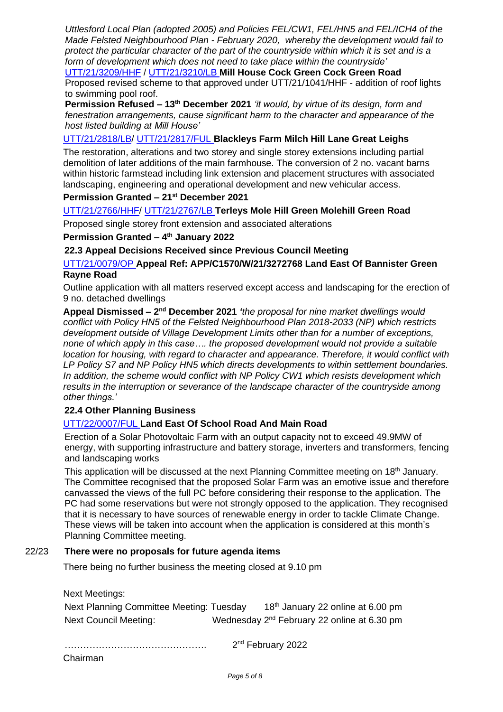*Uttlesford Local Plan (adopted 2005) and Policies FEL/CW1, FEL/HN5 and FEL/ICH4 of the Made Felsted Neighbourhood Plan - February 2020, whereby the development would fail to protect the particular character of the part of the countryside within which it is set and is a form of development which does not need to take place within the countryside'*

[UTT/21/3209/HHF](https://publicaccess.uttlesford.gov.uk/online-applications/applicationDetails.do?activeTab=summary&keyVal=R1MY13QN0AT00&prevPage=inTray) / [UTT/21/3210/LB](https://publicaccess.uttlesford.gov.uk/online-applications/applicationDetails.do?activeTab=summary&keyVal=R1MY1LQN0AT00&prevPage=inTray) **Mill House Cock Green Cock Green Road** Proposed revised scheme to that approved under UTT/21/1041/HHF - addition of roof lights to swimming pool roof.

**Permission Refused – 13th December 2021** *'it would, by virtue of its design, form and fenestration arrangements, cause significant harm to the character and appearance of the host listed building at Mill House'*

## [UTT/21/2818/LB/](https://publicaccess.uttlesford.gov.uk/online-applications/applicationDetails.do?activeTab=summary&keyVal=QZ7OECQNFUQ00) [UTT/21/2817/FUL](https://publicaccess.uttlesford.gov.uk/online-applications/applicationDetails.do?activeTab=summary&keyVal=QZ7OE4QNFUO00) **Blackleys Farm Milch Hill Lane Great Leighs**

The restoration, alterations and two storey and single storey extensions including partial demolition of later additions of the main farmhouse. The conversion of 2 no. vacant barns within historic farmstead including link extension and placement structures with associated landscaping, engineering and operational development and new vehicular access.

## **Permission Granted – 21st December 2021**

## [UTT/21/2766/HHF/](https://publicaccess.uttlesford.gov.uk/online-applications/applicationDetails.do?activeTab=summary&keyVal=QZ09PIQNFPQ00) [UTT/21/2767/LB](https://publicaccess.uttlesford.gov.uk/online-applications/applicationDetails.do?activeTab=summary&keyVal=QZ09PMQNFPS00) **Terleys Mole Hill Green Molehill Green Road**

Proposed single storey front extension and associated alterations

## **Permission Granted – 4 th January 2022**

## **22.3 Appeal Decisions Received since Previous Council Meeting**

## [UTT/21/0079/OP](https://publicaccess.uttlesford.gov.uk/online-applications/applicationDetails.do?activeTab=summary&keyVal=QMRZY3QNG2Z00) **Appeal Ref: APP/C1570/W/21/3272768 Land East Of Bannister Green Rayne Road**

Outline application with all matters reserved except access and landscaping for the erection of 9 no. detached dwellings

Appeal Dismissed - 2<sup>nd</sup> December 2021 *'the proposal for nine market dwellings would conflict with Policy HN5 of the Felsted Neighbourhood Plan 2018-2033 (NP) which restricts development outside of Village Development Limits other than for a number of exceptions, none of which apply in this case…. the proposed development would not provide a suitable location for housing, with regard to character and appearance. Therefore, it would conflict with LP Policy S7 and NP Policy HN5 which directs developments to within settlement boundaries. In addition, the scheme would conflict with NP Policy CW1 which resists development which results in the interruption or severance of the landscape character of the countryside among other things.'*

## **22.4 Other Planning Business**

## [UTT/22/0007/FUL](https://publicaccess.uttlesford.gov.uk/online-applications/applicationDetails.do?activeTab=summary&keyVal=R56ZWMQNJ7L00&prevPage=inTray) **Land East Of School Road And Main Road**

Erection of a Solar Photovoltaic Farm with an output capacity not to exceed 49.9MW of energy, with supporting infrastructure and battery storage, inverters and transformers, fencing and landscaping works

This application will be discussed at the next Planning Committee meeting on 18<sup>th</sup> January. The Committee recognised that the proposed Solar Farm was an emotive issue and therefore canvassed the views of the full PC before considering their response to the application. The PC had some reservations but were not strongly opposed to the application. They recognised that it is necessary to have sources of renewable energy in order to tackle Climate Change. These views will be taken into account when the application is considered at this month's Planning Committee meeting.

## 22/23 **There were no proposals for future agenda items**

There being no further business the meeting closed at 9.10 pm

Next Meetings:

| Next Planning Committee Meeting: Tuesday | 18 <sup>th</sup> January 22 online at 6.00 pm           |  |
|------------------------------------------|---------------------------------------------------------|--|
| Next Council Meeting:                    | Wednesday 2 <sup>nd</sup> February 22 online at 6.30 pm |  |

. The contract of the contract of the contract of the contract of the contract of the contract of the contract of the contract of the contract of the contract of the contract of the contract of the contract of the contrac 2<sup>nd</sup> February 2022

Chairman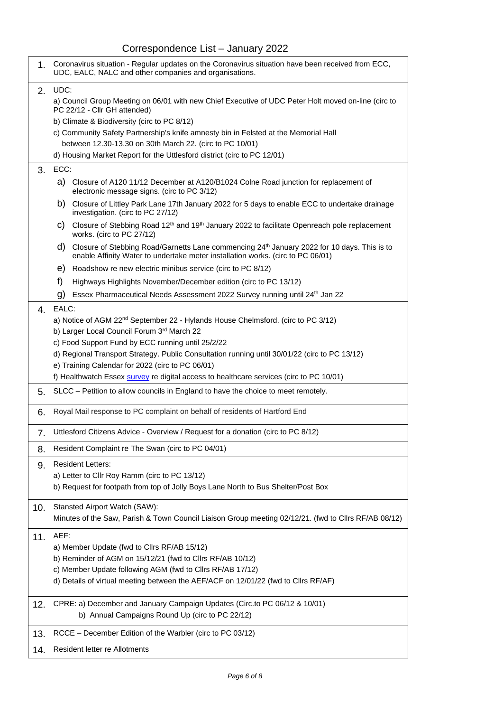## Correspondence List – January 2022

| 1.  | Coronavirus situation - Regular updates on the Coronavirus situation have been received from ECC,<br>UDC, EALC, NALC and other companies and organisations.                                      |
|-----|--------------------------------------------------------------------------------------------------------------------------------------------------------------------------------------------------|
| 2.  | UDC:                                                                                                                                                                                             |
|     | a) Council Group Meeting on 06/01 with new Chief Executive of UDC Peter Holt moved on-line (circ to<br>PC 22/12 - Cllr GH attended)                                                              |
|     | b) Climate & Biodiversity (circ to PC 8/12)                                                                                                                                                      |
|     | c) Community Safety Partnership's knife amnesty bin in Felsted at the Memorial Hall                                                                                                              |
|     | between 12.30-13.30 on 30th March 22. (circ to PC 10/01)<br>d) Housing Market Report for the Uttlesford district (circ to PC 12/01)                                                              |
|     |                                                                                                                                                                                                  |
| 3.  | ECC:                                                                                                                                                                                             |
|     | a) Closure of A120 11/12 December at A120/B1024 Colne Road junction for replacement of<br>electronic message signs. (circ to PC 3/12)                                                            |
|     | b)<br>Closure of Littley Park Lane 17th January 2022 for 5 days to enable ECC to undertake drainage<br>investigation. (circ to PC 27/12)                                                         |
|     | Closure of Stebbing Road 12 <sup>th</sup> and 19 <sup>th</sup> January 2022 to facilitate Openreach pole replacement<br>C)<br>works. (circ to PC 27/12)                                          |
|     | d)<br>Closure of Stebbing Road/Garnetts Lane commencing 24 <sup>th</sup> January 2022 for 10 days. This is to<br>enable Affinity Water to undertake meter installation works. (circ to PC 06/01) |
|     | e)<br>Roadshow re new electric minibus service (circ to PC 8/12)                                                                                                                                 |
|     | f)<br>Highways Highlights November/December edition (circ to PC 13/12)                                                                                                                           |
|     | Essex Pharmaceutical Needs Assessment 2022 Survey running until 24th Jan 22<br>g)                                                                                                                |
| 4.  | EALC:                                                                                                                                                                                            |
|     | a) Notice of AGM 22 <sup>nd</sup> September 22 - Hylands House Chelmsford. (circ to PC 3/12)                                                                                                     |
|     | b) Larger Local Council Forum 3rd March 22                                                                                                                                                       |
|     | c) Food Support Fund by ECC running until 25/2/22                                                                                                                                                |
|     | d) Regional Transport Strategy. Public Consultation running until 30/01/22 (circ to PC 13/12)                                                                                                    |
|     | e) Training Calendar for 2022 (circ to PC 06/01)                                                                                                                                                 |
|     | f) Healthwatch Essex survey re digital access to healthcare services (circ to PC 10/01)                                                                                                          |
| 5.  | SLCC – Petition to allow councils in England to have the choice to meet remotely.                                                                                                                |
| 6.  | Royal Mail response to PC complaint on behalf of residents of Hartford End                                                                                                                       |
| 7.  | Uttlesford Citizens Advice - Overview / Request for a donation (circ to PC 8/12)                                                                                                                 |
| 8.  | Resident Complaint re The Swan (circ to PC 04/01)                                                                                                                                                |
| 9.  | <b>Resident Letters:</b>                                                                                                                                                                         |
|     | a) Letter to Cllr Roy Ramm (circ to PC 13/12)                                                                                                                                                    |
|     | b) Request for footpath from top of Jolly Boys Lane North to Bus Shelter/Post Box                                                                                                                |
| 10. | Stansted Airport Watch (SAW):                                                                                                                                                                    |
|     | Minutes of the Saw, Parish & Town Council Liaison Group meeting 02/12/21. (fwd to ClIrs RF/AB 08/12)                                                                                             |
|     |                                                                                                                                                                                                  |
| 11. | AEF:                                                                                                                                                                                             |
|     | a) Member Update (fwd to Cllrs RF/AB 15/12)<br>b) Reminder of AGM on 15/12/21 (fwd to Cllrs RF/AB 10/12)                                                                                         |
|     | c) Member Update following AGM (fwd to Cllrs RF/AB 17/12)                                                                                                                                        |
|     | d) Details of virtual meeting between the AEF/ACF on 12/01/22 (fwd to ClIrs RF/AF)                                                                                                               |
|     |                                                                                                                                                                                                  |
| 12. | CPRE: a) December and January Campaign Updates (Circ.to PC 06/12 & 10/01)                                                                                                                        |
|     | b) Annual Campaigns Round Up (circ to PC 22/12)                                                                                                                                                  |
| 13. | RCCE - December Edition of the Warbler (circ to PC 03/12)                                                                                                                                        |
|     | Resident letter re Allotments                                                                                                                                                                    |
| 14. |                                                                                                                                                                                                  |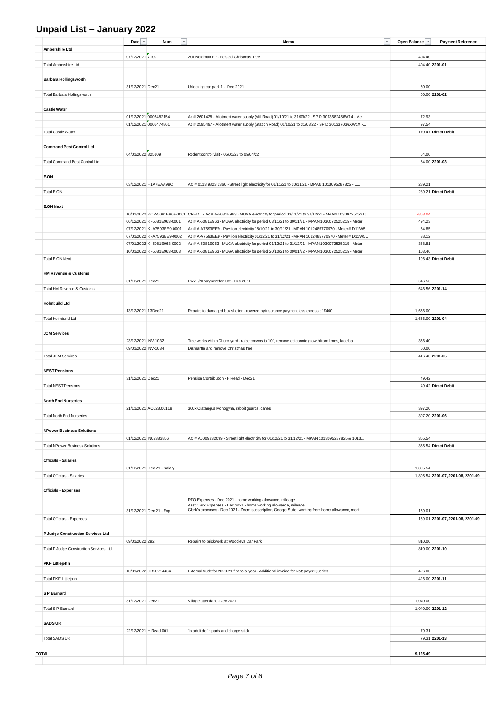## **Unpaid List – January 2022**

|                                         | Date                | Num<br>$\overline{\phantom{a}}$                            | $\mathbf{v}$<br>Memo                                                                                                                                                                                | Open Balance     | <b>Payment Reference</b>           |
|-----------------------------------------|---------------------|------------------------------------------------------------|-----------------------------------------------------------------------------------------------------------------------------------------------------------------------------------------------------|------------------|------------------------------------|
| Ambershire Ltd                          |                     |                                                            |                                                                                                                                                                                                     |                  |                                    |
|                                         | 07/12/2021 7100     |                                                            | 20ft Nordman Fir - Felsted Christmas Tree                                                                                                                                                           | 404.40           |                                    |
| <b>Total Ambershire Ltd</b>             |                     |                                                            |                                                                                                                                                                                                     |                  | 404.40 2201-01                     |
|                                         |                     |                                                            |                                                                                                                                                                                                     |                  |                                    |
| <b>Barbara Hollingsworth</b>            | 31/12/2021 Dec21    |                                                            | Unlocking car park 1 - Dec 2021                                                                                                                                                                     | 60.00            |                                    |
| Total Barbara Hollingsworth             |                     |                                                            |                                                                                                                                                                                                     |                  | 60.00 2201-02                      |
|                                         |                     |                                                            |                                                                                                                                                                                                     |                  |                                    |
| <b>Castle Water</b>                     |                     |                                                            |                                                                                                                                                                                                     |                  |                                    |
|                                         |                     | 01/12/2021 0006482154                                      | Ac # 2601428 - Allotment water supply (Mill Road) 01/10/21 to 31/03/22 - SPID 3013582456W14 - Me                                                                                                    | 72.93            |                                    |
|                                         |                     | 01/12/2021 0006474861                                      | Ac # 2595497 - Allotment water supply (Station Road) 01/10/21 to 31/03/22 - SPID 301337036XW1X -                                                                                                    | 97.54            |                                    |
| <b>Total Castle Water</b>               |                     |                                                            |                                                                                                                                                                                                     |                  | 170.47 Direct Debit                |
| <b>Command Pest Control Ltd</b>         |                     |                                                            |                                                                                                                                                                                                     |                  |                                    |
|                                         | 04/01/2022 825109   |                                                            | Rodent control visit - 05/01/22 to 05/04/22                                                                                                                                                         | 54.00            |                                    |
| <b>Total Command Pest Control Ltd</b>   |                     |                                                            |                                                                                                                                                                                                     |                  | 54.00 2201-03                      |
|                                         |                     |                                                            |                                                                                                                                                                                                     |                  |                                    |
| E.ON                                    |                     |                                                            |                                                                                                                                                                                                     |                  |                                    |
|                                         |                     | 03/12/2021 H1A7EAA99C                                      | AC # 0113 9823 6360 - Street light electricity for 01/11/21 to 30/11/21 - MPAN 1013095287825 - U                                                                                                    | 289.21           |                                    |
| Total E.ON                              |                     |                                                            |                                                                                                                                                                                                     |                  | 289.21 Direct Debit                |
|                                         |                     |                                                            |                                                                                                                                                                                                     |                  |                                    |
| <b>E.ON Next</b>                        |                     |                                                            |                                                                                                                                                                                                     |                  |                                    |
|                                         |                     |                                                            | 10/01/2022 KCR-5081E963-0001 CREDIT - Ac # A-5081E963 - MUGA electricity for period 03/11/21 to 31/12/21 - MPAN 1030072525215                                                                       | $-863.04$        |                                    |
|                                         |                     | 06/12/2021 KI-5081E963-0001<br>07/12/2021 KI-A7593EE9-0001 | Ac # A-5081E963 - MUGA electricity for period 03/11/21 to 30/11/21 - MPAN 1030072525215 - Meter<br>Ac # A-A7593EE9 - Pavilion electricity 18/10/21 to 30/11/21 - MPAN 1012485770570 - Meter # D11W5 | 494.23<br>54.85  |                                    |
|                                         |                     | 07/01/2022 KI-A7593EE9-0002                                | Ac # A-A7593EE9 - Pavilion electricity 01/12/21 to 31/12/21 - MPAN 1012485770570 - Meter # D11W5                                                                                                    | 38.12            |                                    |
|                                         |                     | 07/01/2022 KI-5081E963-0002                                | Ac # A-5081E963 - MUGA electricity for period 01/12/21 to 31/12/21 - MPAN 1030072525215 - Meter                                                                                                     | 368.81           |                                    |
|                                         |                     | 10/01/2022 KI-5081E963-0003                                | Ac # A-5081E963 - MUGA electricity for period 20/10/21 to 09/01/22 - MPAN 1030072525215 - Meter                                                                                                     | 103.46           |                                    |
| Total E.ON Next                         |                     |                                                            |                                                                                                                                                                                                     |                  | 196.43 Direct Debit                |
|                                         |                     |                                                            |                                                                                                                                                                                                     |                  |                                    |
| <b>HM Revenue &amp; Customs</b>         |                     |                                                            |                                                                                                                                                                                                     |                  |                                    |
|                                         | 31/12/2021 Dec21    |                                                            | PAYE/NI payment for Oct - Dec 2021                                                                                                                                                                  | 646.56           |                                    |
| Total HM Revenue & Customs              |                     |                                                            |                                                                                                                                                                                                     |                  | 646.56 2201-14                     |
| <b>Holmbuild Ltd</b>                    |                     |                                                            |                                                                                                                                                                                                     |                  |                                    |
|                                         | 13/12/2021 13Dec21  |                                                            | Repairs to damaged bus shelter - covered by insurance payment less excess of £400                                                                                                                   | 1,656.00         |                                    |
| <b>Total Holmbuild Ltd</b>              |                     |                                                            |                                                                                                                                                                                                     | 1,656.00 2201-04 |                                    |
|                                         |                     |                                                            |                                                                                                                                                                                                     |                  |                                    |
| <b>JCM Services</b>                     |                     |                                                            |                                                                                                                                                                                                     |                  |                                    |
|                                         | 23/12/2021 INV-1032 |                                                            | Tree works within Churchyard - raise crowns to 10ft, remove epicormic growth from limes, face ba                                                                                                    | 356.40           |                                    |
|                                         | 09/01/2022 INV-1034 |                                                            | Dismantle and remove Christmas tree                                                                                                                                                                 | 60.00            |                                    |
| <b>Total JCM Services</b>               |                     |                                                            |                                                                                                                                                                                                     |                  | 416.40 2201-05                     |
|                                         |                     |                                                            |                                                                                                                                                                                                     |                  |                                    |
| <b>NEST Pensions</b>                    | 31/12/2021 Dec21    |                                                            |                                                                                                                                                                                                     | 49.42            |                                    |
| <b>Total NEST Pensions</b>              |                     |                                                            | Pension Contribution - H Read - Dec21                                                                                                                                                               |                  | 49.42 Direct Debit                 |
|                                         |                     |                                                            |                                                                                                                                                                                                     |                  |                                    |
| <b>North End Nurseries</b>              |                     |                                                            |                                                                                                                                                                                                     |                  |                                    |
|                                         |                     | 21/11/2021 AC028.00118                                     | 300x Crataegus Monogyna, rabbit guards, canes                                                                                                                                                       | 397.20           |                                    |
| <b>Total North End Nurseries</b>        |                     |                                                            |                                                                                                                                                                                                     |                  | 397.20 2201-06                     |
|                                         |                     |                                                            |                                                                                                                                                                                                     |                  |                                    |
| <b>NPower Business Solutions</b>        |                     |                                                            |                                                                                                                                                                                                     |                  |                                    |
|                                         |                     | 01/12/2021 IN02383856                                      | AC # A0009232099 - Street light electricity for 01/12/21 to 31/12/21 - MPAN 1013095287825 & 1013                                                                                                    | 365.54           |                                    |
| <b>Total NPower Business Solutions</b>  |                     |                                                            |                                                                                                                                                                                                     |                  | 365.54 Direct Debit                |
| <b>Officials - Salaries</b>             |                     |                                                            |                                                                                                                                                                                                     |                  |                                    |
|                                         |                     | 31/12/2021 Dec 21 - Salary                                 |                                                                                                                                                                                                     | 1,895.54         |                                    |
| <b>Total Officials - Salaries</b>       |                     |                                                            |                                                                                                                                                                                                     |                  | 1,895.54 2201-07, 2201-08, 2201-09 |
|                                         |                     |                                                            |                                                                                                                                                                                                     |                  |                                    |
| <b>Officials - Expenses</b>             |                     |                                                            |                                                                                                                                                                                                     |                  |                                    |
|                                         |                     |                                                            | RFO Expenses - Dec 2021 - home working allowance, mileage                                                                                                                                           |                  |                                    |
|                                         |                     | 31/12/2021 Dec 21 - Exp                                    | Asst Clerk Expenses - Dec 2021 - home working allowance, mileage<br>Clerk's expenses - Dec 2021 - Zoom subscription, Google Suite, working from home allowance, mont                                | 169.01           |                                    |
| Total Officials - Expenses              |                     |                                                            |                                                                                                                                                                                                     |                  | 169.01 2201-07, 2201-08, 2201-09   |
|                                         |                     |                                                            |                                                                                                                                                                                                     |                  |                                    |
| P Judge Construction Services Ltd       |                     |                                                            |                                                                                                                                                                                                     |                  |                                    |
|                                         | 09/01/2022 292      |                                                            | Repairs to brickwork at Woodleys Car Park                                                                                                                                                           | 810.00           |                                    |
| Total P Judge Construction Services Ltd |                     |                                                            |                                                                                                                                                                                                     |                  | 810.00 2201-10                     |
|                                         |                     |                                                            |                                                                                                                                                                                                     |                  |                                    |
| <b>PKF Littlejohn</b>                   |                     | 10/01/2022 SB20214434                                      | External Audit for 2020-21 financial year - Additional invoice for Ratepayer Queries                                                                                                                | 426.00           |                                    |
| Total PKF Littlejohn                    |                     |                                                            |                                                                                                                                                                                                     |                  | 426.00 2201-11                     |
|                                         |                     |                                                            |                                                                                                                                                                                                     |                  |                                    |
| S P Barnard                             |                     |                                                            |                                                                                                                                                                                                     |                  |                                    |
|                                         | 31/12/2021 Dec21    |                                                            | Village attendant - Dec 2021                                                                                                                                                                        | 1,040.00         |                                    |
| Total S P Barnard                       |                     |                                                            |                                                                                                                                                                                                     |                  | 1,040.00 2201-12                   |
|                                         |                     |                                                            |                                                                                                                                                                                                     |                  |                                    |
| <b>SADS UK</b>                          |                     |                                                            |                                                                                                                                                                                                     |                  |                                    |
| <b>Total SADS UK</b>                    |                     | 22/12/2021 H Read 001                                      | 1x adult defib pads and charge stick                                                                                                                                                                | 79.31            | 79.31 2201-13                      |
|                                         |                     |                                                            |                                                                                                                                                                                                     |                  |                                    |
| <b>TOTAL</b>                            |                     |                                                            |                                                                                                                                                                                                     | 9,125.49         |                                    |
|                                         |                     |                                                            |                                                                                                                                                                                                     |                  |                                    |